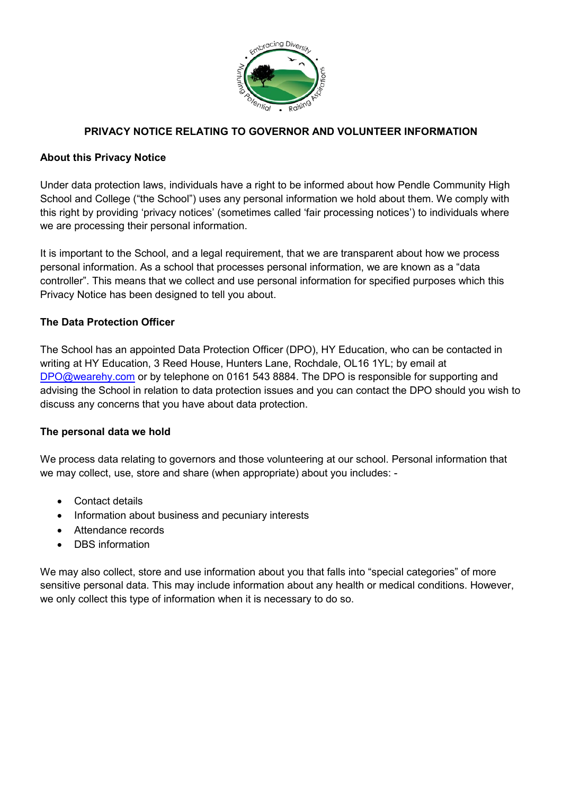

# **PRIVACY NOTICE RELATING TO GOVERNOR AND VOLUNTEER INFORMATION**

### **About this Privacy Notice**

Under data protection laws, individuals have a right to be informed about how Pendle Community High School and College ("the School") uses any personal information we hold about them. We comply with this right by providing 'privacy notices' (sometimes called 'fair processing notices') to individuals where we are processing their personal information.

It is important to the School, and a legal requirement, that we are transparent about how we process personal information. As a school that processes personal information, we are known as a "data controller". This means that we collect and use personal information for specified purposes which this Privacy Notice has been designed to tell you about.

### **The Data Protection Officer**

The School has an appointed Data Protection Officer (DPO), HY Education, who can be contacted in writing at HY Education, 3 Reed House, Hunters Lane, Rochdale, OL16 1YL; by email at [DPO@wearehy.com](mailto:DPO@wearehy.com) or by telephone on 0161 543 8884. The DPO is responsible for supporting and advising the School in relation to data protection issues and you can contact the DPO should you wish to discuss any concerns that you have about data protection.

#### **The personal data we hold**

We process data relating to governors and those volunteering at our school. Personal information that we may collect, use, store and share (when appropriate) about you includes: -

- Contact details
- Information about business and pecuniary interests
- Attendance records
- DBS information

We may also collect, store and use information about you that falls into "special categories" of more sensitive personal data. This may include information about any health or medical conditions. However, we only collect this type of information when it is necessary to do so.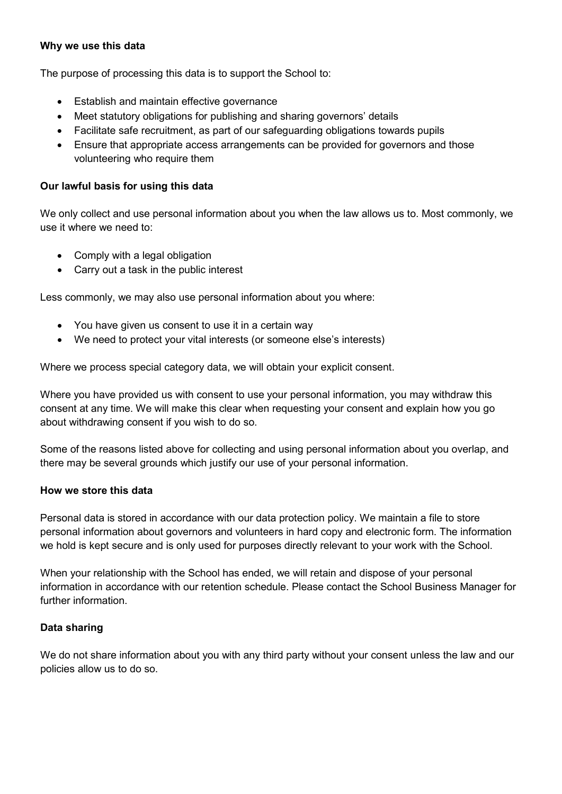## **Why we use this data**

The purpose of processing this data is to support the School to:

- Establish and maintain effective governance
- Meet statutory obligations for publishing and sharing governors' details
- Facilitate safe recruitment, as part of our safeguarding obligations towards pupils
- Ensure that appropriate access arrangements can be provided for governors and those volunteering who require them

#### **Our lawful basis for using this data**

We only collect and use personal information about you when the law allows us to. Most commonly, we use it where we need to:

- Comply with a legal obligation
- Carry out a task in the public interest

Less commonly, we may also use personal information about you where:

- You have given us consent to use it in a certain way
- We need to protect your vital interests (or someone else's interests)

Where we process special category data, we will obtain your explicit consent.

Where you have provided us with consent to use your personal information, you may withdraw this consent at any time. We will make this clear when requesting your consent and explain how you go about withdrawing consent if you wish to do so.

Some of the reasons listed above for collecting and using personal information about you overlap, and there may be several grounds which justify our use of your personal information.

#### **How we store this data**

Personal data is stored in accordance with our data protection policy. We maintain a file to store personal information about governors and volunteers in hard copy and electronic form. The information we hold is kept secure and is only used for purposes directly relevant to your work with the School.

When your relationship with the School has ended, we will retain and dispose of your personal information in accordance with our retention schedule. Please contact the School Business Manager for further information.

#### **Data sharing**

We do not share information about you with any third party without your consent unless the law and our policies allow us to do so.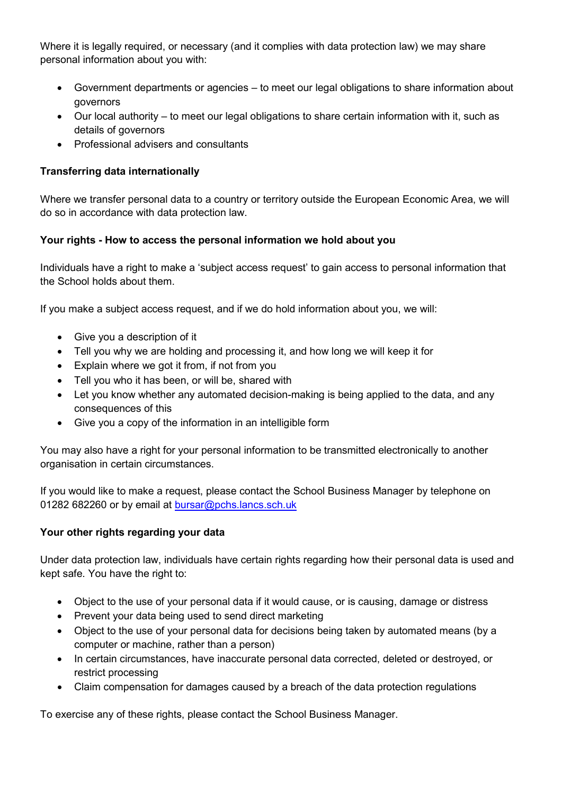Where it is legally required, or necessary (and it complies with data protection law) we may share personal information about you with:

- Government departments or agencies to meet our legal obligations to share information about governors
- Our local authority to meet our legal obligations to share certain information with it, such as details of governors
- Professional advisers and consultants

# **Transferring data internationally**

Where we transfer personal data to a country or territory outside the European Economic Area, we will do so in accordance with data protection law.

## **Your rights - How to access the personal information we hold about you**

Individuals have a right to make a 'subject access request' to gain access to personal information that the School holds about them.

If you make a subject access request, and if we do hold information about you, we will:

- Give you a description of it
- Tell you why we are holding and processing it, and how long we will keep it for
- Explain where we got it from, if not from you
- Tell you who it has been, or will be, shared with
- Let you know whether any automated decision-making is being applied to the data, and any consequences of this
- Give you a copy of the information in an intelligible form

You may also have a right for your personal information to be transmitted electronically to another organisation in certain circumstances.

If you would like to make a request, please contact the School Business Manager by telephone on 01282 682260 or by email at [bursar@pchs.lancs.sch.uk](mailto:bursar@pchs.lancs.sch.uk)

## **Your other rights regarding your data**

Under data protection law, individuals have certain rights regarding how their personal data is used and kept safe. You have the right to:

- Object to the use of your personal data if it would cause, or is causing, damage or distress
- Prevent your data being used to send direct marketing
- Object to the use of your personal data for decisions being taken by automated means (by a computer or machine, rather than a person)
- In certain circumstances, have inaccurate personal data corrected, deleted or destroyed, or restrict processing
- Claim compensation for damages caused by a breach of the data protection regulations

To exercise any of these rights, please contact the School Business Manager.